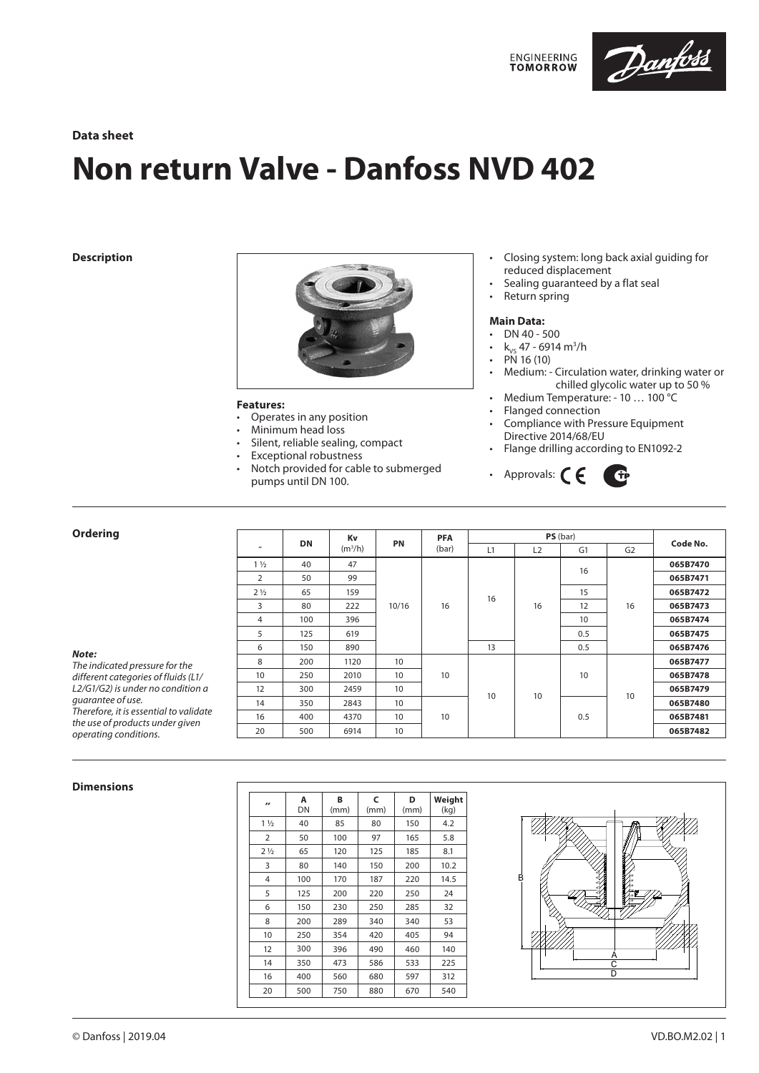

# **Data sheet**

# **Non return Valve - Danfoss NVD 402**

**Description**



#### **Features:**

- Operates in any position
- Minimum head loss
- Silent, reliable sealing, compact
- Exceptional robustness
- Notch provided for cable to submerged pumps until DN 100.

# • Closing system: long back axial guiding for reduced displacement

- Sealing guaranteed by a flat seal
- Return spring

#### **Main Data:**

- DN 40 500<br>•  $k$  47 6914
- k<sub>vs</sub> 47 6914 m<sup>3</sup>/h
- PN 16 (10)<br>• Medium: -
- Medium: Circulation water, drinking water or chilled glycolic water up to 50 %
- Medium Temperature: 10 ... 100 $^{\circ}$ C<br>• Elanged connection
- Flanged connection
- Compliance with Pressure Equipment Directive 2014/68/EU
- Flange drilling according to EN1092-2



## **Ordering**

|                |           | Kv<br>(m <sup>3</sup> /h) | PN    | <b>PFA</b><br>(bar) | PS(bar) |    |                |                |          |
|----------------|-----------|---------------------------|-------|---------------------|---------|----|----------------|----------------|----------|
| $\mathbf{r}$   | <b>DN</b> |                           |       |                     | L1      | L2 | G <sub>1</sub> | G <sub>2</sub> | Code No. |
| $1\frac{1}{2}$ | 40        | 47                        |       |                     |         |    |                |                | 065B7470 |
| $\overline{2}$ | 50        | 99                        |       |                     |         |    |                |                | 065B7471 |
| $2\frac{1}{2}$ | 65        | 159                       | 10/16 | 16                  | 16      | 16 | 15             | 16             | 065B7472 |
| 3              | 80        | 222                       |       |                     |         |    | 12             |                | 065B7473 |
| 4              | 100       | 396                       |       |                     |         |    | 10             |                | 065B7474 |
| 5              | 125       | 619                       |       |                     |         |    | 0.5            |                | 065B7475 |
| 6              | 150       | 890                       |       |                     | 13      |    | 0.5            |                | 065B7476 |
| 8              | 200       | 1120                      | 10    | 10                  | 10      | 10 | 10             | 10             | 065B7477 |
| 10             | 250       | 2010                      | 10    |                     |         |    |                |                | 065B7478 |
| 12             | 300       | 2459                      | 10    |                     |         |    |                |                | 065B7479 |
| 14             | 350       | 2843                      | 10    |                     |         |    | 0.5            |                | 065B7480 |
| 16             | 400       | 4370                      | 10    | 10                  |         |    |                |                | 065B7481 |
| 20             | 500       | 6914                      | 10    |                     |         |    |                |                | 065B7482 |
|                |           |                           |       |                     |         |    |                | 16             |          |

#### **Dimensions**

| $\overline{\mathbf{r}}$ | A<br>DN | B<br>(mm) | C<br>(mm) | D<br>(mm) | Weight<br>(kq) |
|-------------------------|---------|-----------|-----------|-----------|----------------|
| $1\frac{1}{2}$          | 40      | 85        | 80        | 150       | 4.2            |
| $\overline{2}$          | 50      | 100       | 97        | 165       | 5.8            |
| 2 <sub>1/2</sub>        | 65      | 120       | 125       | 185       | 8.1            |
| 3                       | 80      | 140       | 150       | 200       | 10.2           |
| 4                       | 100     | 170       | 187       | 220       | 14.5           |
| 5                       | 125     | 200       | 220       | 250       | 24             |
| 6                       | 150     | 230       | 250       | 285       | 32             |
| 8                       | 200     | 289       | 340       | 340       | 53             |
| 10                      | 250     | 354       | 420       | 405       | 94             |
| 12                      | 300     | 396       | 490       | 460       | 140            |
| 14                      | 350     | 473       | 586       | 533       | 225            |
| 16                      | 400     | 560       | 680       | 597       | 312            |
| 20                      | 500     | 750       | 880       | 670       | 540            |